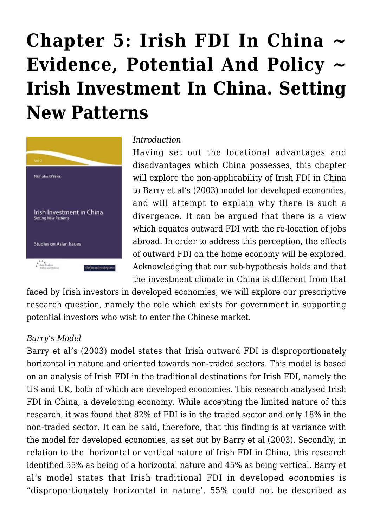# **[Chapter 5: Irish FDI In China ~](https://rozenbergquarterly.com/chapter-5-irish-fdi-in-china-evidence-potential-and-policy-irish-investment-in-china-setting-new-patterns/) [Evidence, Potential And Policy ~](https://rozenbergquarterly.com/chapter-5-irish-fdi-in-china-evidence-potential-and-policy-irish-investment-in-china-setting-new-patterns/) [Irish Investment In China. Setting](https://rozenbergquarterly.com/chapter-5-irish-fdi-in-china-evidence-potential-and-policy-irish-investment-in-china-setting-new-patterns/) [New Patterns](https://rozenbergquarterly.com/chapter-5-irish-fdi-in-china-evidence-potential-and-policy-irish-investment-in-china-setting-new-patterns/)**



#### *Introduction*

Having set out the locational advantages and disadvantages which China possesses, this chapter will explore the non-applicability of Irish FDI in China to Barry et al's (2003) model for developed economies, and will attempt to explain why there is such a divergence. It can be argued that there is a view which equates outward FDI with the re-location of jobs abroad. In order to address this perception, the effects of outward FDI on the home economy will be explored. Acknowledging that our sub-hypothesis holds and that the investment climate in China is different from that

faced by Irish investors in developed economies, we will explore our prescriptive research question, namely the role which exists for government in supporting potential investors who wish to enter the Chinese market.

#### *Barry's Model*

Barry et al's (2003) model states that Irish outward FDI is disproportionately horizontal in nature and oriented towards non-traded sectors. This model is based on an analysis of Irish FDI in the traditional destinations for Irish FDI, namely the US and UK, both of which are developed economies. This research analysed Irish FDI in China, a developing economy. While accepting the limited nature of this research, it was found that 82% of FDI is in the traded sector and only 18% in the non-traded sector. It can be said, therefore, that this finding is at variance with the model for developed economies, as set out by Barry et al (2003). Secondly, in relation to the horizontal or vertical nature of Irish FDI in China, this research identified 55% as being of a horizontal nature and 45% as being vertical. Barry et al's model states that Irish traditional FDI in developed economies is "disproportionately horizontal in nature'. 55% could not be described as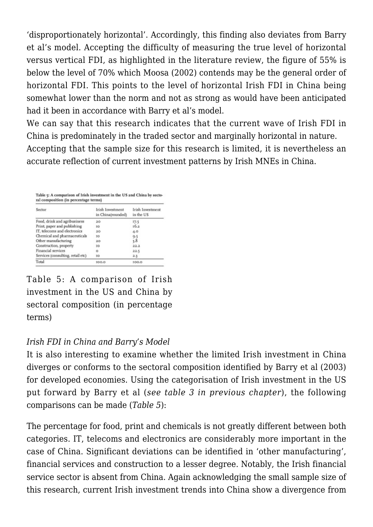'disproportionately horizontal'. Accordingly, this finding also deviates from Barry et al's model. Accepting the difficulty of measuring the true level of horizontal versus vertical FDI, as highlighted in the literature review, the figure of 55% is below the level of 70% which Moosa (2002) contends may be the general order of horizontal FDI. This points to the level of horizontal Irish FDI in China being somewhat lower than the norm and not as strong as would have been anticipated had it been in accordance with Barry et al's model.

We can say that this research indicates that the current wave of Irish FDI in China is predominately in the traded sector and marginally horizontal in nature. Accepting that the sample size for this research is limited, it is nevertheless an

accurate reflection of current investment patterns by Irish MNEs in China.

Table 5: A comparison of Irish investment in the US and China by sectoral composition (in percentage terms)

| Sector                            | Irish Investment<br>in China(rounded) | Irish Investment<br>in the US |
|-----------------------------------|---------------------------------------|-------------------------------|
| Food, drink and agribusiness      | 20                                    | 17.5                          |
| Print, paper and publishing       | IO                                    | 16.2                          |
| IT, telecoms and electronics      | 20                                    | 4.0                           |
| Chemical and pharmaceuticals      | īΟ                                    | 9.5                           |
| Other manufacturing               | 20                                    | 5.8                           |
| Construction, property            | IO                                    | 22.2                          |
| Financial services                | o                                     | 22.5                          |
| Services (consulting, retail etc) | IO                                    | 2.3                           |
| Total                             | 100.0                                 | 100.0                         |
|                                   |                                       |                               |

Table 5: A comparison of Irish investment in the US and China by sectoral composition (in percentage terms)

# *Irish FDI in China and Barry's Model*

It is also interesting to examine whether the limited Irish investment in China diverges or conforms to the sectoral composition identified by Barry et al (2003) for developed economies. Using the categorisation of Irish investment in the US put forward by Barry et al (*see table 3 in previous chapter*), the following comparisons can be made (*Table 5*):

The percentage for food, print and chemicals is not greatly different between both categories. IT, telecoms and electronics are considerably more important in the case of China. Significant deviations can be identified in 'other manufacturing', financial services and construction to a lesser degree. Notably, the Irish financial service sector is absent from China. Again acknowledging the small sample size of this research, current Irish investment trends into China show a divergence from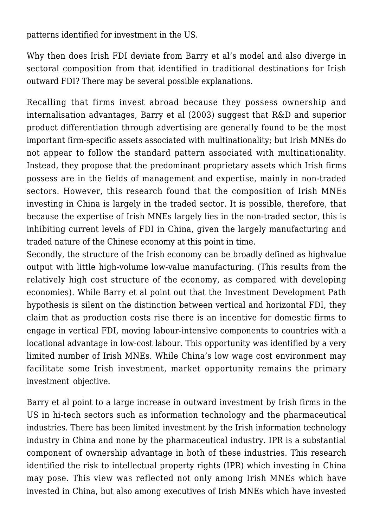patterns identified for investment in the US.

Why then does Irish FDI deviate from Barry et al's model and also diverge in sectoral composition from that identified in traditional destinations for Irish outward FDI? There may be several possible explanations.

Recalling that firms invest abroad because they possess ownership and internalisation advantages, Barry et al (2003) suggest that R&D and superior product differentiation through advertising are generally found to be the most important firm-specific assets associated with multinationality; but Irish MNEs do not appear to follow the standard pattern associated with multinationality. Instead, they propose that the predominant proprietary assets which Irish firms possess are in the fields of management and expertise, mainly in non-traded sectors. However, this research found that the composition of Irish MNEs investing in China is largely in the traded sector. It is possible, therefore, that because the expertise of Irish MNEs largely lies in the non-traded sector, this is inhibiting current levels of FDI in China, given the largely manufacturing and traded nature of the Chinese economy at this point in time.

Secondly, the structure of the Irish economy can be broadly defined as highvalue output with little high-volume low-value manufacturing. (This results from the relatively high cost structure of the economy, as compared with developing economies). While Barry et al point out that the Investment Development Path hypothesis is silent on the distinction between vertical and horizontal FDI, they claim that as production costs rise there is an incentive for domestic firms to engage in vertical FDI, moving labour-intensive components to countries with a locational advantage in low-cost labour. This opportunity was identified by a very limited number of Irish MNEs. While China's low wage cost environment may facilitate some Irish investment, market opportunity remains the primary investment objective.

Barry et al point to a large increase in outward investment by Irish firms in the US in hi-tech sectors such as information technology and the pharmaceutical industries. There has been limited investment by the Irish information technology industry in China and none by the pharmaceutical industry. IPR is a substantial component of ownership advantage in both of these industries. This research identified the risk to intellectual property rights (IPR) which investing in China may pose. This view was reflected not only among Irish MNEs which have invested in China, but also among executives of Irish MNEs which have invested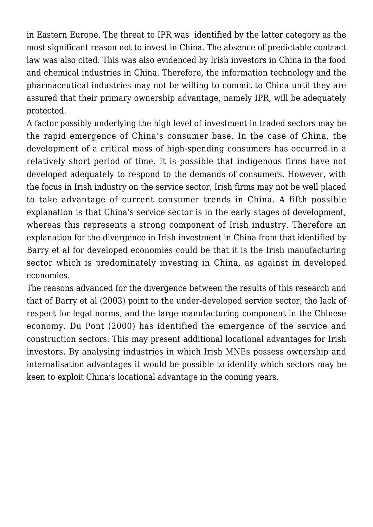in Eastern Europe. The threat to IPR was identified by the latter category as the most significant reason not to invest in China. The absence of predictable contract law was also cited. This was also evidenced by Irish investors in China in the food and chemical industries in China. Therefore, the information technology and the pharmaceutical industries may not be willing to commit to China until they are assured that their primary ownership advantage, namely IPR, will be adequately protected.

A factor possibly underlying the high level of investment in traded sectors may be the rapid emergence of China's consumer base. In the case of China, the development of a critical mass of high-spending consumers has occurred in a relatively short period of time. It is possible that indigenous firms have not developed adequately to respond to the demands of consumers. However, with the focus in Irish industry on the service sector, Irish firms may not be well placed to take advantage of current consumer trends in China. A fifth possible explanation is that China's service sector is in the early stages of development, whereas this represents a strong component of Irish industry. Therefore an explanation for the divergence in Irish investment in China from that identified by Barry et al for developed economies could be that it is the Irish manufacturing sector which is predominately investing in China, as against in developed economies.

The reasons advanced for the divergence between the results of this research and that of Barry et al (2003) point to the under-developed service sector, the lack of respect for legal norms, and the large manufacturing component in the Chinese economy. Du Pont (2000) has identified the emergence of the service and construction sectors. This may present additional locational advantages for Irish investors. By analysing industries in which Irish MNEs possess ownership and internalisation advantages it would be possible to identify which sectors may be keen to exploit China's locational advantage in the coming years.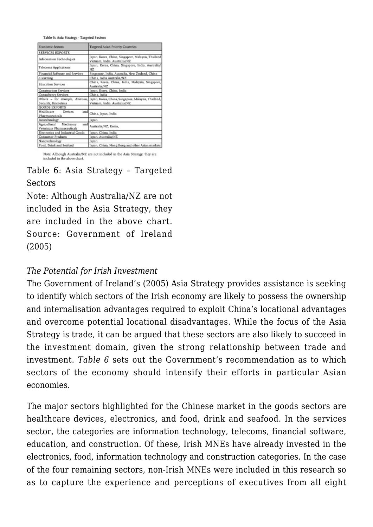Table 6: Asia Strategy - Targeted Sectors

| <b>Economic Sectors</b>                                        | Targeted Asian Priority Countries                                                                                    |  |
|----------------------------------------------------------------|----------------------------------------------------------------------------------------------------------------------|--|
| <b>SERVICES EXPORTS</b>                                        |                                                                                                                      |  |
| <b>Information Technologies</b>                                | Japan, Korea, China, Singapore, Malaysia, Thailand<br>Vietnam, India, Australia/NZ                                   |  |
| <b>Telecoms Applications</b>                                   | Japan, Korea, China, Singapore, India, Australia/<br>NZ.                                                             |  |
| Financial Software and Services                                | Singapore, India, Australia, New Zealand, China                                                                      |  |
| eLearning                                                      | China, India Australia/NZ                                                                                            |  |
| <b>Education Services</b>                                      | China, Korea, China, India, Malaysia, Singapore,<br>Australia/NZ                                                     |  |
| <b>Construction Services</b>                                   | Japan, Korea, China, India                                                                                           |  |
| <b>Consultancy Services</b>                                    | China, India                                                                                                         |  |
| Security, Biometrics                                           | Others - for example, Aviation, Japan, Korea, China, Singapore, Malaysia, Thailand,<br>Vietnam, India. Australia/NZ. |  |
| <b>GOODS EXPORTS</b>                                           |                                                                                                                      |  |
| Healthcare<br>Devices<br>and<br>Pharmaceuticals                | China, Japan, India                                                                                                  |  |
| Biotechnology                                                  | Japan                                                                                                                |  |
| Machinery<br>Agricultural<br>and<br>Veterinary Pharmaceuticals | Australia/NZ, Korea,                                                                                                 |  |
| Electronics and Industrial Goods                               | Japan, China, India                                                                                                  |  |
| <b>Consumer Products</b>                                       | Japan. Australia/NZ                                                                                                  |  |
| Nanotechnology                                                 | <b>Japan</b>                                                                                                         |  |
| Food, Drink and Seafood                                        | Japan, China, Hong Kong and other Asian markets                                                                      |  |

Note: Although Australia/NZ are not included in the Asia Strategy, they are included in the above chart.

## Table 6: Asia Strategy – Targeted **Sectors**

Note: Although Australia/NZ are not included in the Asia Strategy, they are included in the above chart. Source: Government of Ireland (2005)

#### *The Potential for Irish Investment*

The Government of Ireland's (2005) Asia Strategy provides assistance is seeking to identify which sectors of the Irish economy are likely to possess the ownership and internalisation advantages required to exploit China's locational advantages and overcome potential locational disadvantages. While the focus of the Asia Strategy is trade, it can be argued that these sectors are also likely to succeed in the investment domain, given the strong relationship between trade and investment. *Table 6* sets out the Government's recommendation as to which sectors of the economy should intensify their efforts in particular Asian economies.

The major sectors highlighted for the Chinese market in the goods sectors are healthcare devices, electronics, and food, drink and seafood. In the services sector, the categories are information technology, telecoms, financial software, education, and construction. Of these, Irish MNEs have already invested in the electronics, food, information technology and construction categories. In the case of the four remaining sectors, non-Irish MNEs were included in this research so as to capture the experience and perceptions of executives from all eight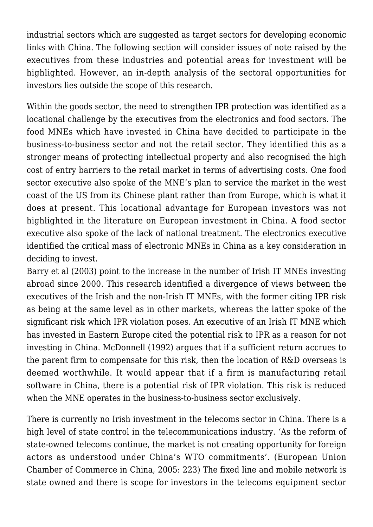industrial sectors which are suggested as target sectors for developing economic links with China. The following section will consider issues of note raised by the executives from these industries and potential areas for investment will be highlighted. However, an in-depth analysis of the sectoral opportunities for investors lies outside the scope of this research.

Within the goods sector, the need to strengthen IPR protection was identified as a locational challenge by the executives from the electronics and food sectors. The food MNEs which have invested in China have decided to participate in the business-to-business sector and not the retail sector. They identified this as a stronger means of protecting intellectual property and also recognised the high cost of entry barriers to the retail market in terms of advertising costs. One food sector executive also spoke of the MNE's plan to service the market in the west coast of the US from its Chinese plant rather than from Europe, which is what it does at present. This locational advantage for European investors was not highlighted in the literature on European investment in China. A food sector executive also spoke of the lack of national treatment. The electronics executive identified the critical mass of electronic MNEs in China as a key consideration in deciding to invest.

Barry et al (2003) point to the increase in the number of Irish IT MNEs investing abroad since 2000. This research identified a divergence of views between the executives of the Irish and the non-Irish IT MNEs, with the former citing IPR risk as being at the same level as in other markets, whereas the latter spoke of the significant risk which IPR violation poses. An executive of an Irish IT MNE which has invested in Eastern Europe cited the potential risk to IPR as a reason for not investing in China. McDonnell (1992) argues that if a sufficient return accrues to the parent firm to compensate for this risk, then the location of R&D overseas is deemed worthwhile. It would appear that if a firm is manufacturing retail software in China, there is a potential risk of IPR violation. This risk is reduced when the MNE operates in the business-to-business sector exclusively.

There is currently no Irish investment in the telecoms sector in China. There is a high level of state control in the telecommunications industry. 'As the reform of state-owned telecoms continue, the market is not creating opportunity for foreign actors as understood under China's WTO commitments'. (European Union Chamber of Commerce in China, 2005: 223) The fixed line and mobile network is state owned and there is scope for investors in the telecoms equipment sector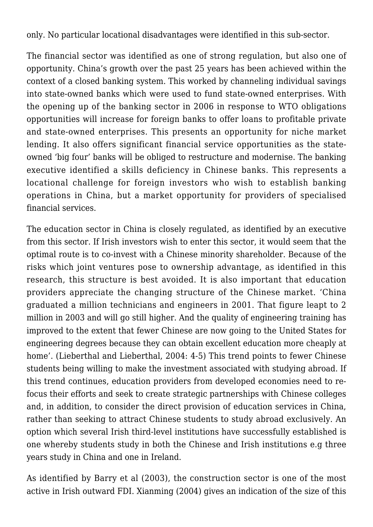only. No particular locational disadvantages were identified in this sub-sector.

The financial sector was identified as one of strong regulation, but also one of opportunity. China's growth over the past 25 years has been achieved within the context of a closed banking system. This worked by channeling individual savings into state-owned banks which were used to fund state-owned enterprises. With the opening up of the banking sector in 2006 in response to WTO obligations opportunities will increase for foreign banks to offer loans to profitable private and state-owned enterprises. This presents an opportunity for niche market lending. It also offers significant financial service opportunities as the stateowned 'big four' banks will be obliged to restructure and modernise. The banking executive identified a skills deficiency in Chinese banks. This represents a locational challenge for foreign investors who wish to establish banking operations in China, but a market opportunity for providers of specialised financial services.

The education sector in China is closely regulated, as identified by an executive from this sector. If Irish investors wish to enter this sector, it would seem that the optimal route is to co-invest with a Chinese minority shareholder. Because of the risks which joint ventures pose to ownership advantage, as identified in this research, this structure is best avoided. It is also important that education providers appreciate the changing structure of the Chinese market. 'China graduated a million technicians and engineers in 2001. That figure leapt to 2 million in 2003 and will go still higher. And the quality of engineering training has improved to the extent that fewer Chinese are now going to the United States for engineering degrees because they can obtain excellent education more cheaply at home'. (Lieberthal and Lieberthal, 2004: 4-5) This trend points to fewer Chinese students being willing to make the investment associated with studying abroad. If this trend continues, education providers from developed economies need to refocus their efforts and seek to create strategic partnerships with Chinese colleges and, in addition, to consider the direct provision of education services in China, rather than seeking to attract Chinese students to study abroad exclusively. An option which several Irish third-level institutions have successfully established is one whereby students study in both the Chinese and Irish institutions e.g three years study in China and one in Ireland.

As identified by Barry et al (2003), the construction sector is one of the most active in Irish outward FDI. Xianming (2004) gives an indication of the size of this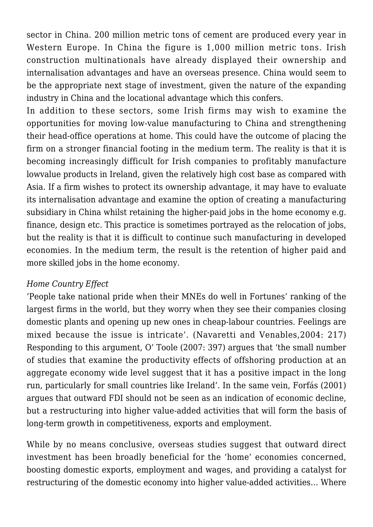sector in China. 200 million metric tons of cement are produced every year in Western Europe. In China the figure is 1,000 million metric tons. Irish construction multinationals have already displayed their ownership and internalisation advantages and have an overseas presence. China would seem to be the appropriate next stage of investment, given the nature of the expanding industry in China and the locational advantage which this confers.

In addition to these sectors, some Irish firms may wish to examine the opportunities for moving low-value manufacturing to China and strengthening their head-office operations at home. This could have the outcome of placing the firm on a stronger financial footing in the medium term. The reality is that it is becoming increasingly difficult for Irish companies to profitably manufacture lowvalue products in Ireland, given the relatively high cost base as compared with Asia. If a firm wishes to protect its ownership advantage, it may have to evaluate its internalisation advantage and examine the option of creating a manufacturing subsidiary in China whilst retaining the higher-paid jobs in the home economy e.g. finance, design etc. This practice is sometimes portrayed as the relocation of jobs, but the reality is that it is difficult to continue such manufacturing in developed economies. In the medium term, the result is the retention of higher paid and more skilled jobs in the home economy.

## *Home Country Effect*

'People take national pride when their MNEs do well in Fortunes' ranking of the largest firms in the world, but they worry when they see their companies closing domestic plants and opening up new ones in cheap-labour countries. Feelings are mixed because the issue is intricate'. (Navaretti and Venables,2004: 217) Responding to this argument, O' Toole (2007: 397) argues that 'the small number of studies that examine the productivity effects of offshoring production at an aggregate economy wide level suggest that it has a positive impact in the long run, particularly for small countries like Ireland'. In the same vein, Forfás (2001) argues that outward FDI should not be seen as an indication of economic decline, but a restructuring into higher value-added activities that will form the basis of long-term growth in competitiveness, exports and employment.

While by no means conclusive, overseas studies suggest that outward direct investment has been broadly beneficial for the 'home' economies concerned, boosting domestic exports, employment and wages, and providing a catalyst for restructuring of the domestic economy into higher value-added activities… Where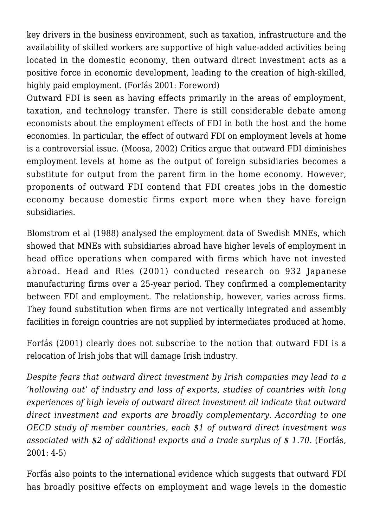key drivers in the business environment, such as taxation, infrastructure and the availability of skilled workers are supportive of high value-added activities being located in the domestic economy, then outward direct investment acts as a positive force in economic development, leading to the creation of high-skilled, highly paid employment. (Forfás 2001: Foreword)

Outward FDI is seen as having effects primarily in the areas of employment, taxation, and technology transfer. There is still considerable debate among economists about the employment effects of FDI in both the host and the home economies. In particular, the effect of outward FDI on employment levels at home is a controversial issue. (Moosa, 2002) Critics argue that outward FDI diminishes employment levels at home as the output of foreign subsidiaries becomes a substitute for output from the parent firm in the home economy. However, proponents of outward FDI contend that FDI creates jobs in the domestic economy because domestic firms export more when they have foreign subsidiaries.

Blomstrom et al (1988) analysed the employment data of Swedish MNEs, which showed that MNEs with subsidiaries abroad have higher levels of employment in head office operations when compared with firms which have not invested abroad. Head and Ries (2001) conducted research on 932 Japanese manufacturing firms over a 25-year period. They confirmed a complementarity between FDI and employment. The relationship, however, varies across firms. They found substitution when firms are not vertically integrated and assembly facilities in foreign countries are not supplied by intermediates produced at home.

Forfás (2001) clearly does not subscribe to the notion that outward FDI is a relocation of Irish jobs that will damage Irish industry.

*Despite fears that outward direct investment by Irish companies may lead to a 'hollowing out' of industry and loss of exports, studies of countries with long experiences of high levels of outward direct investment all indicate that outward direct investment and exports are broadly complementary. According to one OECD study of member countries, each \$1 of outward direct investment was associated with \$2 of additional exports and a trade surplus of \$ 1.70.* (Forfás, 2001: 4-5)

Forfás also points to the international evidence which suggests that outward FDI has broadly positive effects on employment and wage levels in the domestic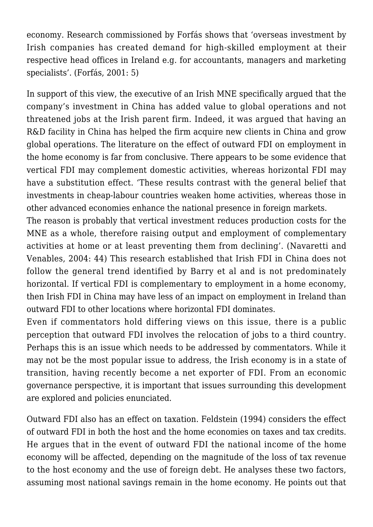economy. Research commissioned by Forfás shows that 'overseas investment by Irish companies has created demand for high-skilled employment at their respective head offices in Ireland e.g. for accountants, managers and marketing specialists'. (Forfás, 2001: 5)

In support of this view, the executive of an Irish MNE specifically argued that the company's investment in China has added value to global operations and not threatened jobs at the Irish parent firm. Indeed, it was argued that having an R&D facility in China has helped the firm acquire new clients in China and grow global operations. The literature on the effect of outward FDI on employment in the home economy is far from conclusive. There appears to be some evidence that vertical FDI may complement domestic activities, whereas horizontal FDI may have a substitution effect. 'These results contrast with the general belief that investments in cheap-labour countries weaken home activities, whereas those in other advanced economies enhance the national presence in foreign markets.

The reason is probably that vertical investment reduces production costs for the MNE as a whole, therefore raising output and employment of complementary activities at home or at least preventing them from declining'. (Navaretti and Venables, 2004: 44) This research established that Irish FDI in China does not follow the general trend identified by Barry et al and is not predominately horizontal. If vertical FDI is complementary to employment in a home economy, then Irish FDI in China may have less of an impact on employment in Ireland than outward FDI to other locations where horizontal FDI dominates.

Even if commentators hold differing views on this issue, there is a public perception that outward FDI involves the relocation of jobs to a third country. Perhaps this is an issue which needs to be addressed by commentators. While it may not be the most popular issue to address, the Irish economy is in a state of transition, having recently become a net exporter of FDI. From an economic governance perspective, it is important that issues surrounding this development are explored and policies enunciated.

Outward FDI also has an effect on taxation. Feldstein (1994) considers the effect of outward FDI in both the host and the home economies on taxes and tax credits. He argues that in the event of outward FDI the national income of the home economy will be affected, depending on the magnitude of the loss of tax revenue to the host economy and the use of foreign debt. He analyses these two factors, assuming most national savings remain in the home economy. He points out that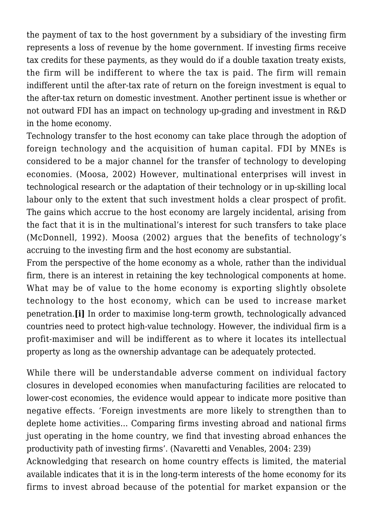the payment of tax to the host government by a subsidiary of the investing firm represents a loss of revenue by the home government. If investing firms receive tax credits for these payments, as they would do if a double taxation treaty exists, the firm will be indifferent to where the tax is paid. The firm will remain indifferent until the after-tax rate of return on the foreign investment is equal to the after-tax return on domestic investment. Another pertinent issue is whether or not outward FDI has an impact on technology up-grading and investment in R&D in the home economy.

Technology transfer to the host economy can take place through the adoption of foreign technology and the acquisition of human capital. FDI by MNEs is considered to be a major channel for the transfer of technology to developing economies. (Moosa, 2002) However, multinational enterprises will invest in technological research or the adaptation of their technology or in up-skilling local labour only to the extent that such investment holds a clear prospect of profit. The gains which accrue to the host economy are largely incidental, arising from the fact that it is in the multinational's interest for such transfers to take place (McDonnell, 1992). Moosa (2002) argues that the benefits of technology's accruing to the investing firm and the host economy are substantial.

From the perspective of the home economy as a whole, rather than the individual firm, there is an interest in retaining the key technological components at home. What may be of value to the home economy is exporting slightly obsolete technology to the host economy, which can be used to increase market penetration.**[i]** In order to maximise long-term growth, technologically advanced countries need to protect high-value technology. However, the individual firm is a profit-maximiser and will be indifferent as to where it locates its intellectual property as long as the ownership advantage can be adequately protected.

While there will be understandable adverse comment on individual factory closures in developed economies when manufacturing facilities are relocated to lower-cost economies, the evidence would appear to indicate more positive than negative effects. 'Foreign investments are more likely to strengthen than to deplete home activities… Comparing firms investing abroad and national firms just operating in the home country, we find that investing abroad enhances the productivity path of investing firms'. (Navaretti and Venables, 2004: 239) Acknowledging that research on home country effects is limited, the material

available indicates that it is in the long-term interests of the home economy for its firms to invest abroad because of the potential for market expansion or the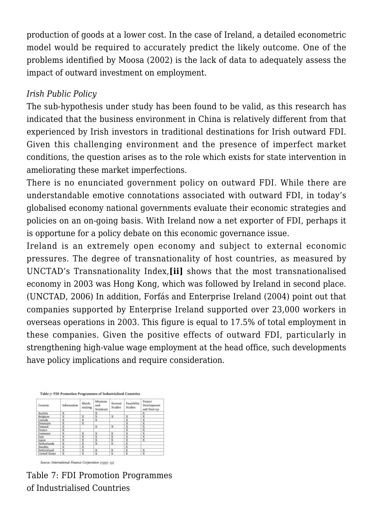production of goods at a lower cost. In the case of Ireland, a detailed econometric model would be required to accurately predict the likely outcome. One of the problems identified by Moosa (2002) is the lack of data to adequately assess the impact of outward investment on employment.

#### *Irish Public Policy*

The sub-hypothesis under study has been found to be valid, as this research has indicated that the business environment in China is relatively different from that experienced by Irish investors in traditional destinations for Irish outward FDI. Given this challenging environment and the presence of imperfect market conditions, the question arises as to the role which exists for state intervention in ameliorating these market imperfections.

There is no enunciated government policy on outward FDI. While there are understandable emotive connotations associated with outward FDI, in today's globalised economy national governments evaluate their economic strategies and policies on an on-going basis. With Ireland now a net exporter of FDI, perhaps it is opportune for a policy debate on this economic governance issue.

Ireland is an extremely open economy and subject to external economic pressures. The degree of transnationality of host countries, as measured by UNCTAD's Transnationality Index,**[ii]** shows that the most transnationalised economy in 2003 was Hong Kong, which was followed by Ireland in second place. (UNCTAD, 2006) In addition, Forfás and Enterprise Ireland (2004) point out that companies supported by Enterprise Ireland supported over 23,000 workers in overseas operations in 2003. This figure is equal to 17.5% of total employment in these companies. Given the positive effects of outward FDI, particularly in strengthening high-value wage employment at the head office, such developments have policy implications and require consideration.



Table 7: FDI Promotion Programmes of Industrialised Countries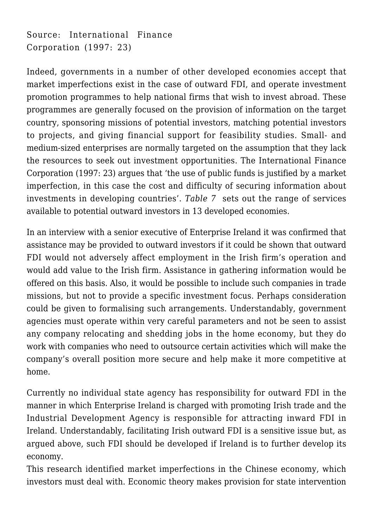Source: International Finance Corporation (1997: 23)

Indeed, governments in a number of other developed economies accept that market imperfections exist in the case of outward FDI, and operate investment promotion programmes to help national firms that wish to invest abroad. These programmes are generally focused on the provision of information on the target country, sponsoring missions of potential investors, matching potential investors to projects, and giving financial support for feasibility studies. Small- and medium-sized enterprises are normally targeted on the assumption that they lack the resources to seek out investment opportunities. The International Finance Corporation (1997: 23) argues that 'the use of public funds is justified by a market imperfection, in this case the cost and difficulty of securing information about investments in developing countries'. *Table 7* sets out the range of services available to potential outward investors in 13 developed economies.

In an interview with a senior executive of Enterprise Ireland it was confirmed that assistance may be provided to outward investors if it could be shown that outward FDI would not adversely affect employment in the Irish firm's operation and would add value to the Irish firm. Assistance in gathering information would be offered on this basis. Also, it would be possible to include such companies in trade missions, but not to provide a specific investment focus. Perhaps consideration could be given to formalising such arrangements. Understandably, government agencies must operate within very careful parameters and not be seen to assist any company relocating and shedding jobs in the home economy, but they do work with companies who need to outsource certain activities which will make the company's overall position more secure and help make it more competitive at home.

Currently no individual state agency has responsibility for outward FDI in the manner in which Enterprise Ireland is charged with promoting Irish trade and the Industrial Development Agency is responsible for attracting inward FDI in Ireland. Understandably, facilitating Irish outward FDI is a sensitive issue but, as argued above, such FDI should be developed if Ireland is to further develop its economy.

This research identified market imperfections in the Chinese economy, which investors must deal with. Economic theory makes provision for state intervention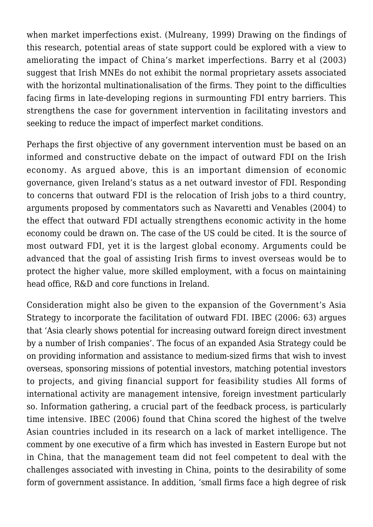when market imperfections exist. (Mulreany, 1999) Drawing on the findings of this research, potential areas of state support could be explored with a view to ameliorating the impact of China's market imperfections. Barry et al (2003) suggest that Irish MNEs do not exhibit the normal proprietary assets associated with the horizontal multinationalisation of the firms. They point to the difficulties facing firms in late-developing regions in surmounting FDI entry barriers. This strengthens the case for government intervention in facilitating investors and seeking to reduce the impact of imperfect market conditions.

Perhaps the first objective of any government intervention must be based on an informed and constructive debate on the impact of outward FDI on the Irish economy. As argued above, this is an important dimension of economic governance, given Ireland's status as a net outward investor of FDI. Responding to concerns that outward FDI is the relocation of Irish jobs to a third country, arguments proposed by commentators such as Navaretti and Venables (2004) to the effect that outward FDI actually strengthens economic activity in the home economy could be drawn on. The case of the US could be cited. It is the source of most outward FDI, yet it is the largest global economy. Arguments could be advanced that the goal of assisting Irish firms to invest overseas would be to protect the higher value, more skilled employment, with a focus on maintaining head office, R&D and core functions in Ireland.

Consideration might also be given to the expansion of the Government's Asia Strategy to incorporate the facilitation of outward FDI. IBEC (2006: 63) argues that 'Asia clearly shows potential for increasing outward foreign direct investment by a number of Irish companies'. The focus of an expanded Asia Strategy could be on providing information and assistance to medium-sized firms that wish to invest overseas, sponsoring missions of potential investors, matching potential investors to projects, and giving financial support for feasibility studies All forms of international activity are management intensive, foreign investment particularly so. Information gathering, a crucial part of the feedback process, is particularly time intensive. IBEC (2006) found that China scored the highest of the twelve Asian countries included in its research on a lack of market intelligence. The comment by one executive of a firm which has invested in Eastern Europe but not in China, that the management team did not feel competent to deal with the challenges associated with investing in China, points to the desirability of some form of government assistance. In addition, 'small firms face a high degree of risk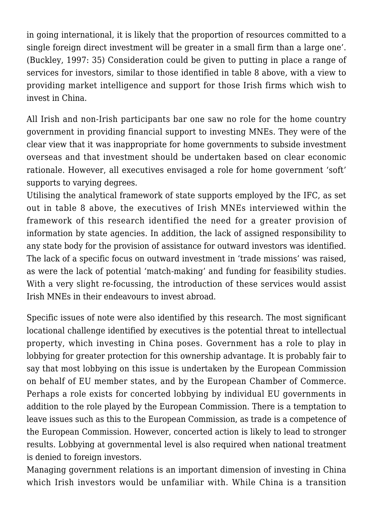in going international, it is likely that the proportion of resources committed to a single foreign direct investment will be greater in a small firm than a large one'. (Buckley, 1997: 35) Consideration could be given to putting in place a range of services for investors, similar to those identified in table 8 above, with a view to providing market intelligence and support for those Irish firms which wish to invest in China.

All Irish and non-Irish participants bar one saw no role for the home country government in providing financial support to investing MNEs. They were of the clear view that it was inappropriate for home governments to subside investment overseas and that investment should be undertaken based on clear economic rationale. However, all executives envisaged a role for home government 'soft' supports to varying degrees.

Utilising the analytical framework of state supports employed by the IFC, as set out in table 8 above, the executives of Irish MNEs interviewed within the framework of this research identified the need for a greater provision of information by state agencies. In addition, the lack of assigned responsibility to any state body for the provision of assistance for outward investors was identified. The lack of a specific focus on outward investment in 'trade missions' was raised, as were the lack of potential 'match-making' and funding for feasibility studies. With a very slight re-focussing, the introduction of these services would assist Irish MNEs in their endeavours to invest abroad.

Specific issues of note were also identified by this research. The most significant locational challenge identified by executives is the potential threat to intellectual property, which investing in China poses. Government has a role to play in lobbying for greater protection for this ownership advantage. It is probably fair to say that most lobbying on this issue is undertaken by the European Commission on behalf of EU member states, and by the European Chamber of Commerce. Perhaps a role exists for concerted lobbying by individual EU governments in addition to the role played by the European Commission. There is a temptation to leave issues such as this to the European Commission, as trade is a competence of the European Commission. However, concerted action is likely to lead to stronger results. Lobbying at governmental level is also required when national treatment is denied to foreign investors.

Managing government relations is an important dimension of investing in China which Irish investors would be unfamiliar with. While China is a transition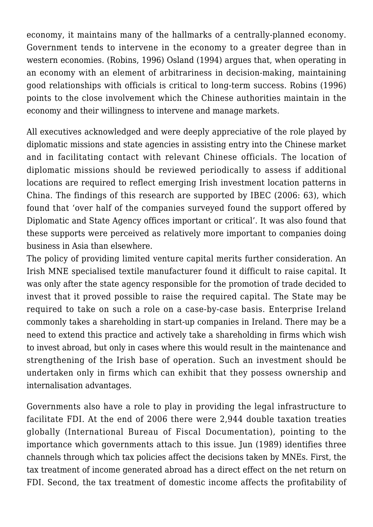economy, it maintains many of the hallmarks of a centrally-planned economy. Government tends to intervene in the economy to a greater degree than in western economies. (Robins, 1996) Osland (1994) argues that, when operating in an economy with an element of arbitrariness in decision-making, maintaining good relationships with officials is critical to long-term success. Robins (1996) points to the close involvement which the Chinese authorities maintain in the economy and their willingness to intervene and manage markets.

All executives acknowledged and were deeply appreciative of the role played by diplomatic missions and state agencies in assisting entry into the Chinese market and in facilitating contact with relevant Chinese officials. The location of diplomatic missions should be reviewed periodically to assess if additional locations are required to reflect emerging Irish investment location patterns in China. The findings of this research are supported by IBEC (2006: 63), which found that 'over half of the companies surveyed found the support offered by Diplomatic and State Agency offices important or critical'. It was also found that these supports were perceived as relatively more important to companies doing business in Asia than elsewhere.

The policy of providing limited venture capital merits further consideration. An Irish MNE specialised textile manufacturer found it difficult to raise capital. It was only after the state agency responsible for the promotion of trade decided to invest that it proved possible to raise the required capital. The State may be required to take on such a role on a case-by-case basis. Enterprise Ireland commonly takes a shareholding in start-up companies in Ireland. There may be a need to extend this practice and actively take a shareholding in firms which wish to invest abroad, but only in cases where this would result in the maintenance and strengthening of the Irish base of operation. Such an investment should be undertaken only in firms which can exhibit that they possess ownership and internalisation advantages.

Governments also have a role to play in providing the legal infrastructure to facilitate FDI. At the end of 2006 there were 2,944 double taxation treaties globally (International Bureau of Fiscal Documentation), pointing to the importance which governments attach to this issue. Jun (1989) identifies three channels through which tax policies affect the decisions taken by MNEs. First, the tax treatment of income generated abroad has a direct effect on the net return on FDI. Second, the tax treatment of domestic income affects the profitability of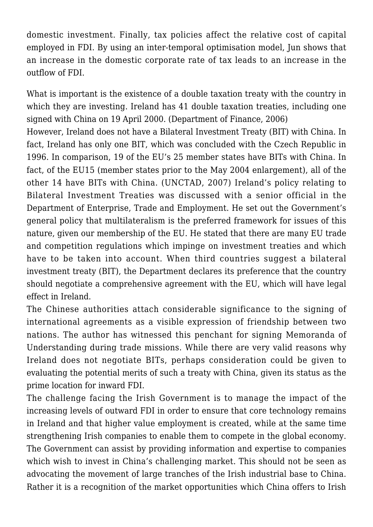domestic investment. Finally, tax policies affect the relative cost of capital employed in FDI. By using an inter-temporal optimisation model, Jun shows that an increase in the domestic corporate rate of tax leads to an increase in the outflow of FDI.

What is important is the existence of a double taxation treaty with the country in which they are investing. Ireland has 41 double taxation treaties, including one signed with China on 19 April 2000. (Department of Finance, 2006)

However, Ireland does not have a Bilateral Investment Treaty (BIT) with China. In fact, Ireland has only one BIT, which was concluded with the Czech Republic in 1996. In comparison, 19 of the EU's 25 member states have BITs with China. In fact, of the EU15 (member states prior to the May 2004 enlargement), all of the other 14 have BITs with China. (UNCTAD, 2007) Ireland's policy relating to Bilateral Investment Treaties was discussed with a senior official in the Department of Enterprise, Trade and Employment. He set out the Government's general policy that multilateralism is the preferred framework for issues of this nature, given our membership of the EU. He stated that there are many EU trade and competition regulations which impinge on investment treaties and which have to be taken into account. When third countries suggest a bilateral investment treaty (BIT), the Department declares its preference that the country should negotiate a comprehensive agreement with the EU, which will have legal effect in Ireland.

The Chinese authorities attach considerable significance to the signing of international agreements as a visible expression of friendship between two nations. The author has witnessed this penchant for signing Memoranda of Understanding during trade missions. While there are very valid reasons why Ireland does not negotiate BITs, perhaps consideration could be given to evaluating the potential merits of such a treaty with China, given its status as the prime location for inward FDI.

The challenge facing the Irish Government is to manage the impact of the increasing levels of outward FDI in order to ensure that core technology remains in Ireland and that higher value employment is created, while at the same time strengthening Irish companies to enable them to compete in the global economy. The Government can assist by providing information and expertise to companies which wish to invest in China's challenging market. This should not be seen as advocating the movement of large tranches of the Irish industrial base to China. Rather it is a recognition of the market opportunities which China offers to Irish